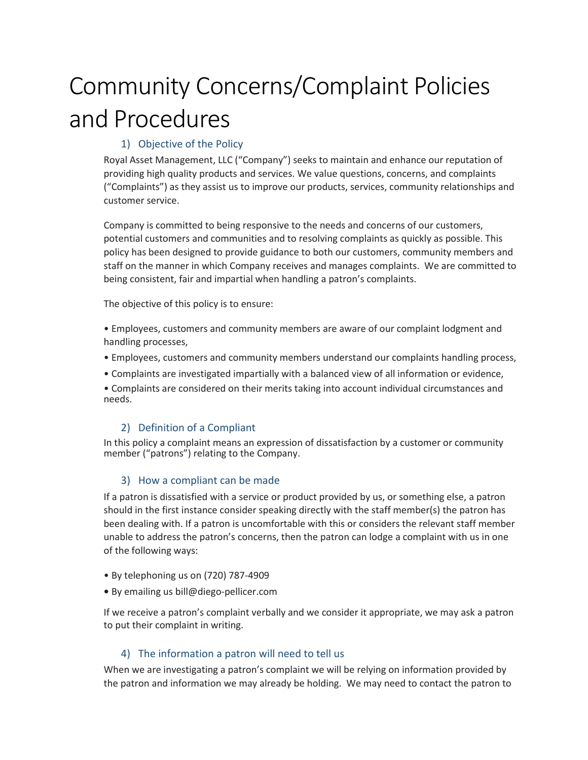# Community Concerns/Complaint Policies and Procedures

# 1) Objective of the Policy

Royal Asset Management, LLC ("Company") seeks to maintain and enhance our reputation of providing high quality products and services. We value questions, concerns, and complaints ("Complaints") as they assist us to improve our products, services, community relationships and customer service.

Company is committed to being responsive to the needs and concerns of our customers, potential customers and communities and to resolving complaints as quickly as possible. This policy has been designed to provide guidance to both our customers, community members and staff on the manner in which Company receives and manages complaints. We are committed to being consistent, fair and impartial when handling a patron's complaints.

The objective of this policy is to ensure:

• Employees, customers and community members are aware of our complaint lodgment and handling processes,

- Employees, customers and community members understand our complaints handling process,
- Complaints are investigated impartially with a balanced view of all information or evidence,

• Complaints are considered on their merits taking into account individual circumstances and needs.

## 2) Definition of a Compliant

In this policy a complaint means an expression of dissatisfaction by a customer or community member ("patrons") relating to the Company.

## 3) How a compliant can be made

If a patron is dissatisfied with a service or product provided by us, or something else, a patron should in the first instance consider speaking directly with the staff member(s) the patron has been dealing with. If a patron is uncomfortable with this or considers the relevant staff member unable to address the patron's concerns, then the patron can lodge a complaint with us in one of the following ways:

- By telephoning us on (720) 787-4909
- **•** By emailing us bill@diego-pellicer.com

If we receive a patron's complaint verbally and we consider it appropriate, we may ask a patron to put their complaint in writing.

## 4) The information a patron will need to tell us

When we are investigating a patron's complaint we will be relying on information provided by the patron and information we may already be holding. We may need to contact the patron to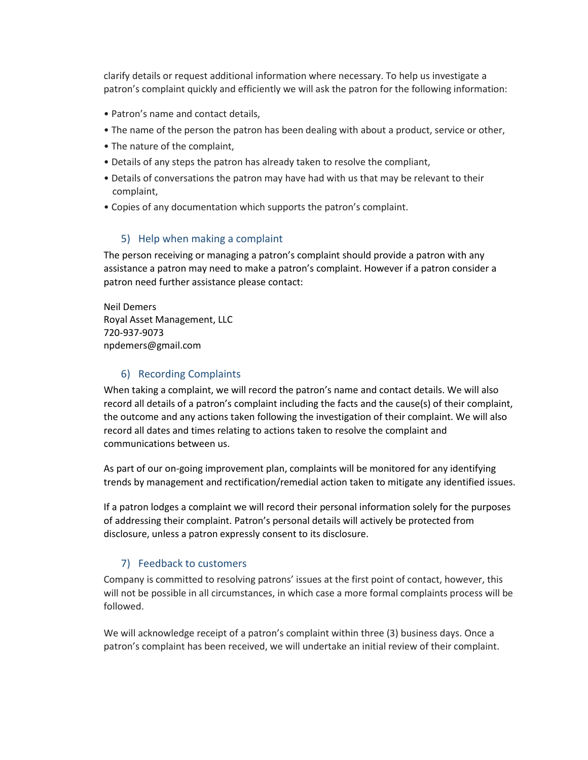clarify details or request additional information where necessary. To help us investigate a patron's complaint quickly and efficiently we will ask the patron for the following information:

- Patron's name and contact details,
- The name of the person the patron has been dealing with about a product, service or other,
- The nature of the complaint,
- Details of any steps the patron has already taken to resolve the compliant,
- Details of conversations the patron may have had with us that may be relevant to their complaint,
- Copies of any documentation which supports the patron's complaint.

#### 5) Help when making a complaint

The person receiving or managing a patron's complaint should provide a patron with any assistance a patron may need to make a patron's complaint. However if a patron consider a patron need further assistance please contact:

Neil Demers Royal Asset Management, LLC 720-937-9073 npdemers@gmail.com

#### 6) Recording Complaints

When taking a complaint, we will record the patron's name and contact details. We will also record all details of a patron's complaint including the facts and the cause(s) of their complaint, the outcome and any actions taken following the investigation of their complaint. We will also record all dates and times relating to actions taken to resolve the complaint and communications between us.

As part of our on-going improvement plan, complaints will be monitored for any identifying trends by management and rectification/remedial action taken to mitigate any identified issues.

If a patron lodges a complaint we will record their personal information solely for the purposes of addressing their complaint. Patron's personal details will actively be protected from disclosure, unless a patron expressly consent to its disclosure.

## 7) Feedback to customers

Company is committed to resolving patrons' issues at the first point of contact, however, this will not be possible in all circumstances, in which case a more formal complaints process will be followed.

We will acknowledge receipt of a patron's complaint within three (3) business days. Once a patron's complaint has been received, we will undertake an initial review of their complaint.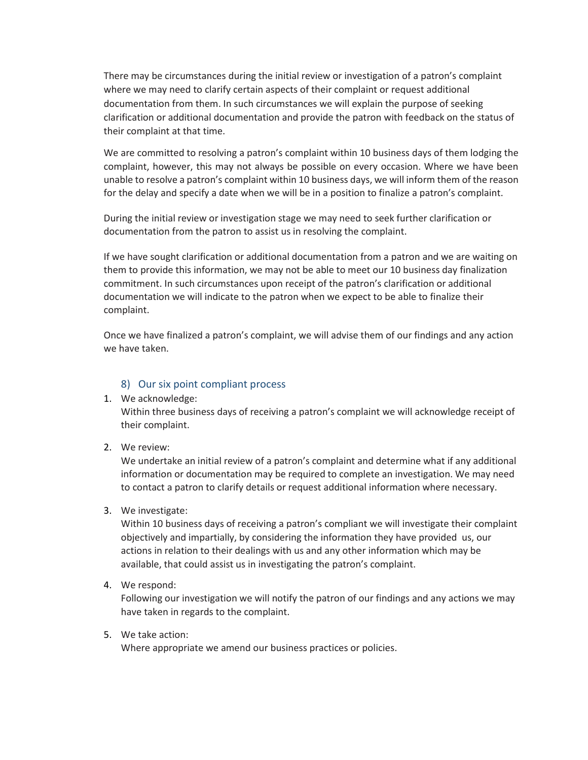There may be circumstances during the initial review or investigation of a patron's complaint where we may need to clarify certain aspects of their complaint or request additional documentation from them. In such circumstances we will explain the purpose of seeking clarification or additional documentation and provide the patron with feedback on the status of their complaint at that time.

We are committed to resolving a patron's complaint within 10 business days of them lodging the complaint, however, this may not always be possible on every occasion. Where we have been unable to resolve a patron's complaint within 10 business days, we will inform them of the reason for the delay and specify a date when we will be in a position to finalize a patron's complaint.

During the initial review or investigation stage we may need to seek further clarification or documentation from the patron to assist us in resolving the complaint.

If we have sought clarification or additional documentation from a patron and we are waiting on them to provide this information, we may not be able to meet our 10 business day finalization commitment. In such circumstances upon receipt of the patron's clarification or additional documentation we will indicate to the patron when we expect to be able to finalize their complaint.

Once we have finalized a patron's complaint, we will advise them of our findings and any action we have taken.

#### 8) Our six point compliant process

1. We acknowledge:

Within three business days of receiving a patron's complaint we will acknowledge receipt of their complaint.

2. We review:

We undertake an initial review of a patron's complaint and determine what if any additional information or documentation may be required to complete an investigation. We may need to contact a patron to clarify details or request additional information where necessary.

3. We investigate:

Within 10 business days of receiving a patron's compliant we will investigate their complaint objectively and impartially, by considering the information they have provided us, our actions in relation to their dealings with us and any other information which may be available, that could assist us in investigating the patron's complaint.

4. We respond:

Following our investigation we will notify the patron of our findings and any actions we may have taken in regards to the complaint.

5. We take action:

Where appropriate we amend our business practices or policies.